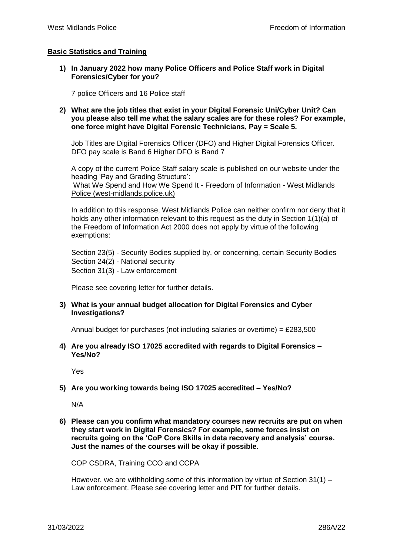## **Basic Statistics and Training**

**1) In January 2022 how many Police Officers and Police Staff work in Digital Forensics/Cyber for you?** 

7 police Officers and 16 Police staff

**2) What are the job titles that exist in your Digital Forensic Uni/Cyber Unit? Can you please also tell me what the salary scales are for these roles? For example, one force might have Digital Forensic Technicians, Pay = Scale 5.** 

Job Titles are Digital Forensics Officer (DFO) and Higher Digital Forensics Officer. DFO pay scale is Band 6 Higher DFO is Band 7

A copy of the current Police Staff salary scale is published on our website under the heading 'Pay and Grading Structure':

[What We Spend and How We Spend It -](https://foi.west-midlands.police.uk/publication-scheme/what-we-spend-and-how-we-spend-it/) Freedom of Information - West Midlands [Police \(west-midlands.police.uk\)](https://foi.west-midlands.police.uk/publication-scheme/what-we-spend-and-how-we-spend-it/)

In addition to this response, West Midlands Police can neither confirm nor deny that it holds any other information relevant to this request as the duty in Section 1(1)(a) of the Freedom of Information Act 2000 does not apply by virtue of the following exemptions:

Section 23(5) - Security Bodies supplied by, or concerning, certain Security Bodies Section 24(2) - National security Section 31(3) - Law enforcement

Please see covering letter for further details.

**3) What is your annual budget allocation for Digital Forensics and Cyber Investigations?**

Annual budget for purchases (not including salaries or overtime) = £283,500

**4) Are you already ISO 17025 accredited with regards to Digital Forensics – Yes/No?** 

Yes

## **5) Are you working towards being ISO 17025 accredited – Yes/No?**

N/A

**6) Please can you confirm what mandatory courses new recruits are put on when they start work in Digital Forensics? For example, some forces insist on recruits going on the 'CoP Core Skills in data recovery and analysis' course. Just the names of the courses will be okay if possible.** 

COP CSDRA, Training CCO and CCPA

However, we are withholding some of this information by virtue of Section  $31(1)$  – Law enforcement. Please see covering letter and PIT for further details.